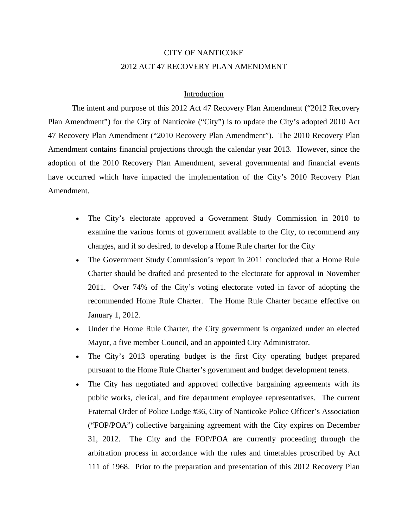# CITY OF NANTICOKE 2012 ACT 47 RECOVERY PLAN AMENDMENT

#### Introduction

The intent and purpose of this 2012 Act 47 Recovery Plan Amendment ("2012 Recovery Plan Amendment") for the City of Nanticoke ("City") is to update the City's adopted 2010 Act 47 Recovery Plan Amendment ("2010 Recovery Plan Amendment"). The 2010 Recovery Plan Amendment contains financial projections through the calendar year 2013. However, since the adoption of the 2010 Recovery Plan Amendment, several governmental and financial events have occurred which have impacted the implementation of the City's 2010 Recovery Plan Amendment.

- The City's electorate approved a Government Study Commission in 2010 to examine the various forms of government available to the City, to recommend any changes, and if so desired, to develop a Home Rule charter for the City
- The Government Study Commission's report in 2011 concluded that a Home Rule Charter should be drafted and presented to the electorate for approval in November 2011. Over 74% of the City's voting electorate voted in favor of adopting the recommended Home Rule Charter. The Home Rule Charter became effective on January 1, 2012.
- Under the Home Rule Charter, the City government is organized under an elected Mayor, a five member Council, and an appointed City Administrator.
- The City's 2013 operating budget is the first City operating budget prepared pursuant to the Home Rule Charter's government and budget development tenets.
- The City has negotiated and approved collective bargaining agreements with its public works, clerical, and fire department employee representatives. The current Fraternal Order of Police Lodge #36, City of Nanticoke Police Officer's Association ("FOP/POA") collective bargaining agreement with the City expires on December 31, 2012. The City and the FOP/POA are currently proceeding through the arbitration process in accordance with the rules and timetables proscribed by Act 111 of 1968. Prior to the preparation and presentation of this 2012 Recovery Plan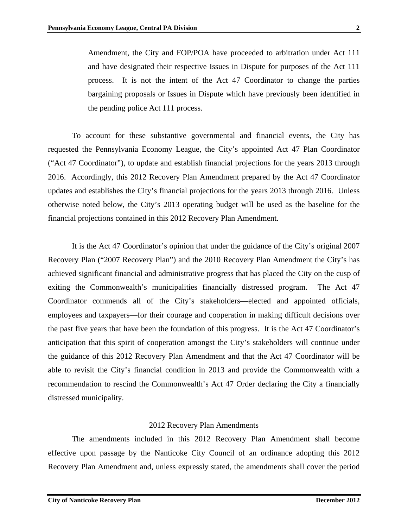Amendment, the City and FOP/POA have proceeded to arbitration under Act 111 and have designated their respective Issues in Dispute for purposes of the Act 111 process. It is not the intent of the Act 47 Coordinator to change the parties bargaining proposals or Issues in Dispute which have previously been identified in the pending police Act 111 process.

To account for these substantive governmental and financial events, the City has requested the Pennsylvania Economy League, the City's appointed Act 47 Plan Coordinator ("Act 47 Coordinator"), to update and establish financial projections for the years 2013 through 2016. Accordingly, this 2012 Recovery Plan Amendment prepared by the Act 47 Coordinator updates and establishes the City's financial projections for the years 2013 through 2016. Unless otherwise noted below, the City's 2013 operating budget will be used as the baseline for the financial projections contained in this 2012 Recovery Plan Amendment.

It is the Act 47 Coordinator's opinion that under the guidance of the City's original 2007 Recovery Plan ("2007 Recovery Plan") and the 2010 Recovery Plan Amendment the City's has achieved significant financial and administrative progress that has placed the City on the cusp of exiting the Commonwealth's municipalities financially distressed program. The Act 47 Coordinator commends all of the City's stakeholders—elected and appointed officials, employees and taxpayers—for their courage and cooperation in making difficult decisions over the past five years that have been the foundation of this progress. It is the Act 47 Coordinator's anticipation that this spirit of cooperation amongst the City's stakeholders will continue under the guidance of this 2012 Recovery Plan Amendment and that the Act 47 Coordinator will be able to revisit the City's financial condition in 2013 and provide the Commonwealth with a recommendation to rescind the Commonwealth's Act 47 Order declaring the City a financially distressed municipality.

#### 2012 Recovery Plan Amendments

The amendments included in this 2012 Recovery Plan Amendment shall become effective upon passage by the Nanticoke City Council of an ordinance adopting this 2012 Recovery Plan Amendment and, unless expressly stated, the amendments shall cover the period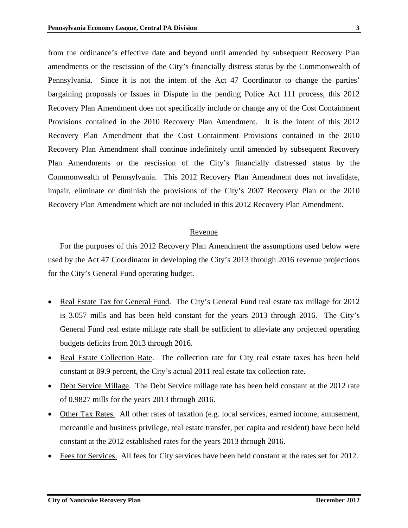from the ordinance's effective date and beyond until amended by subsequent Recovery Plan amendments or the rescission of the City's financially distress status by the Commonwealth of Pennsylvania. Since it is not the intent of the Act 47 Coordinator to change the parties' bargaining proposals or Issues in Dispute in the pending Police Act 111 process, this 2012 Recovery Plan Amendment does not specifically include or change any of the Cost Containment Provisions contained in the 2010 Recovery Plan Amendment. It is the intent of this 2012 Recovery Plan Amendment that the Cost Containment Provisions contained in the 2010 Recovery Plan Amendment shall continue indefinitely until amended by subsequent Recovery Plan Amendments or the rescission of the City's financially distressed status by the Commonwealth of Pennsylvania. This 2012 Recovery Plan Amendment does not invalidate, impair, eliminate or diminish the provisions of the City's 2007 Recovery Plan or the 2010 Recovery Plan Amendment which are not included in this 2012 Recovery Plan Amendment.

#### Revenue

For the purposes of this 2012 Recovery Plan Amendment the assumptions used below were used by the Act 47 Coordinator in developing the City's 2013 through 2016 revenue projections for the City's General Fund operating budget.

- Real Estate Tax for General Fund. The City's General Fund real estate tax millage for 2012 is 3.057 mills and has been held constant for the years 2013 through 2016. The City's General Fund real estate millage rate shall be sufficient to alleviate any projected operating budgets deficits from 2013 through 2016.
- Real Estate Collection Rate. The collection rate for City real estate taxes has been held constant at 89.9 percent, the City's actual 2011 real estate tax collection rate.
- Debt Service Millage. The Debt Service millage rate has been held constant at the 2012 rate of 0.9827 mills for the years 2013 through 2016.
- Other Tax Rates. All other rates of taxation (e.g. local services, earned income, amusement, mercantile and business privilege, real estate transfer, per capita and resident) have been held constant at the 2012 established rates for the years 2013 through 2016.
- Fees for Services. All fees for City services have been held constant at the rates set for 2012.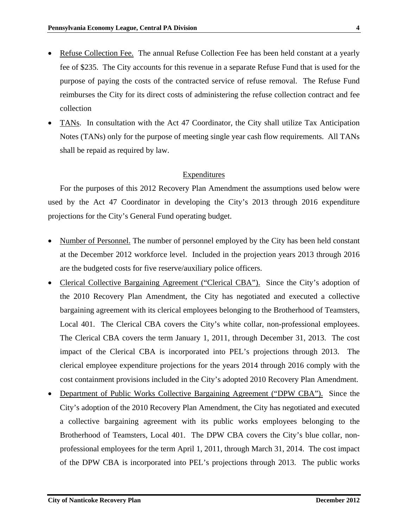- Refuse Collection Fee. The annual Refuse Collection Fee has been held constant at a yearly fee of \$235. The City accounts for this revenue in a separate Refuse Fund that is used for the purpose of paying the costs of the contracted service of refuse removal. The Refuse Fund reimburses the City for its direct costs of administering the refuse collection contract and fee collection
- TANs. In consultation with the Act 47 Coordinator, the City shall utilize Tax Anticipation Notes (TANs) only for the purpose of meeting single year cash flow requirements. All TANs shall be repaid as required by law.

## Expenditures

For the purposes of this 2012 Recovery Plan Amendment the assumptions used below were used by the Act 47 Coordinator in developing the City's 2013 through 2016 expenditure projections for the City's General Fund operating budget.

- Number of Personnel. The number of personnel employed by the City has been held constant at the December 2012 workforce level. Included in the projection years 2013 through 2016 are the budgeted costs for five reserve/auxiliary police officers.
- Clerical Collective Bargaining Agreement ("Clerical CBA"). Since the City's adoption of the 2010 Recovery Plan Amendment, the City has negotiated and executed a collective bargaining agreement with its clerical employees belonging to the Brotherhood of Teamsters, Local 401. The Clerical CBA covers the City's white collar, non-professional employees. The Clerical CBA covers the term January 1, 2011, through December 31, 2013. The cost impact of the Clerical CBA is incorporated into PEL's projections through 2013. The clerical employee expenditure projections for the years 2014 through 2016 comply with the cost containment provisions included in the City's adopted 2010 Recovery Plan Amendment.
- Department of Public Works Collective Bargaining Agreement ("DPW CBA"). Since the City's adoption of the 2010 Recovery Plan Amendment, the City has negotiated and executed a collective bargaining agreement with its public works employees belonging to the Brotherhood of Teamsters, Local 401. The DPW CBA covers the City's blue collar, nonprofessional employees for the term April 1, 2011, through March 31, 2014. The cost impact of the DPW CBA is incorporated into PEL's projections through 2013. The public works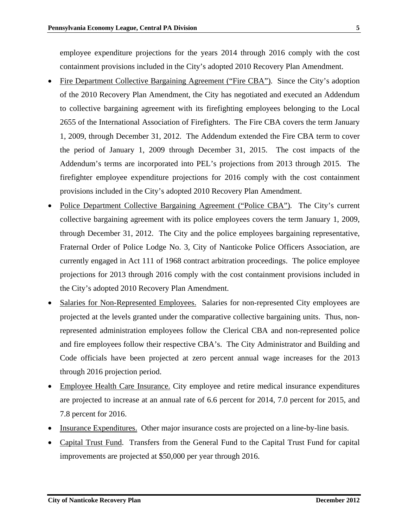employee expenditure projections for the years 2014 through 2016 comply with the cost containment provisions included in the City's adopted 2010 Recovery Plan Amendment.

- Fire Department Collective Bargaining Agreement ("Fire CBA"). Since the City's adoption of the 2010 Recovery Plan Amendment, the City has negotiated and executed an Addendum to collective bargaining agreement with its firefighting employees belonging to the Local 2655 of the International Association of Firefighters. The Fire CBA covers the term January 1, 2009, through December 31, 2012. The Addendum extended the Fire CBA term to cover the period of January 1, 2009 through December 31, 2015. The cost impacts of the Addendum's terms are incorporated into PEL's projections from 2013 through 2015. The firefighter employee expenditure projections for 2016 comply with the cost containment provisions included in the City's adopted 2010 Recovery Plan Amendment.
- Police Department Collective Bargaining Agreement ("Police CBA"). The City's current collective bargaining agreement with its police employees covers the term January 1, 2009, through December 31, 2012. The City and the police employees bargaining representative, Fraternal Order of Police Lodge No. 3, City of Nanticoke Police Officers Association, are currently engaged in Act 111 of 1968 contract arbitration proceedings. The police employee projections for 2013 through 2016 comply with the cost containment provisions included in the City's adopted 2010 Recovery Plan Amendment.
- Salaries for Non-Represented Employees. Salaries for non-represented City employees are projected at the levels granted under the comparative collective bargaining units. Thus, nonrepresented administration employees follow the Clerical CBA and non-represented police and fire employees follow their respective CBA's. The City Administrator and Building and Code officials have been projected at zero percent annual wage increases for the 2013 through 2016 projection period.
- Employee Health Care Insurance. City employee and retire medical insurance expenditures are projected to increase at an annual rate of 6.6 percent for 2014, 7.0 percent for 2015, and 7.8 percent for 2016.
- Insurance Expenditures. Other major insurance costs are projected on a line-by-line basis.
- Capital Trust Fund. Transfers from the General Fund to the Capital Trust Fund for capital improvements are projected at \$50,000 per year through 2016.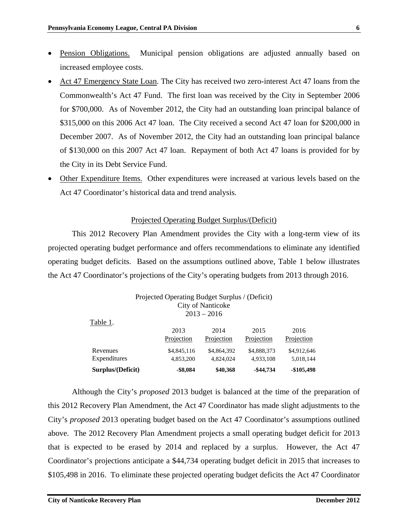- Pension Obligations. Municipal pension obligations are adjusted annually based on increased employee costs.
- Act 47 Emergency State Loan. The City has received two zero-interest Act 47 loans from the Commonwealth's Act 47 Fund. The first loan was received by the City in September 2006 for \$700,000. As of November 2012, the City had an outstanding loan principal balance of \$315,000 on this 2006 Act 47 loan. The City received a second Act 47 loan for \$200,000 in December 2007. As of November 2012, the City had an outstanding loan principal balance of \$130,000 on this 2007 Act 47 loan. Repayment of both Act 47 loans is provided for by the City in its Debt Service Fund.
- Other Expenditure Items. Other expenditures were increased at various levels based on the Act 47 Coordinator's historical data and trend analysis.

### Projected Operating Budget Surplus/(Deficit)

This 2012 Recovery Plan Amendment provides the City with a long-term view of its projected operating budget performance and offers recommendations to eliminate any identified operating budget deficits. Based on the assumptions outlined above, Table 1 below illustrates the Act 47 Coordinator's projections of the City's operating budgets from 2013 through 2016.

| Projected Operating Budget Surplus / (Deficit)<br>City of Nanticoke<br>$2013 - 2016$ |             |             |              |             |  |  |
|--------------------------------------------------------------------------------------|-------------|-------------|--------------|-------------|--|--|
| Table 1.                                                                             | 2013        | 2014        | 2015         | 2016        |  |  |
|                                                                                      | Projection  | Projection  | Projection   | Projection  |  |  |
| Revenues                                                                             | \$4,845,116 | \$4,864,392 | \$4,888,373  | \$4,912,646 |  |  |
| Expenditures                                                                         | 4,853,200   | 4,824,024   | 4,933,108    | 5,018,144   |  |  |
| Surplus/(Deficit)                                                                    | $-$ \$8,084 | \$40,368    | $-$ \$44,734 | $-$105,498$ |  |  |

Although the City's *proposed* 2013 budget is balanced at the time of the preparation of this 2012 Recovery Plan Amendment, the Act 47 Coordinator has made slight adjustments to the City's *proposed* 2013 operating budget based on the Act 47 Coordinator's assumptions outlined above. The 2012 Recovery Plan Amendment projects a small operating budget deficit for 2013 that is expected to be erased by 2014 and replaced by a surplus. However, the Act 47 Coordinator's projections anticipate a \$44,734 operating budget deficit in 2015 that increases to \$105,498 in 2016. To eliminate these projected operating budget deficits the Act 47 Coordinator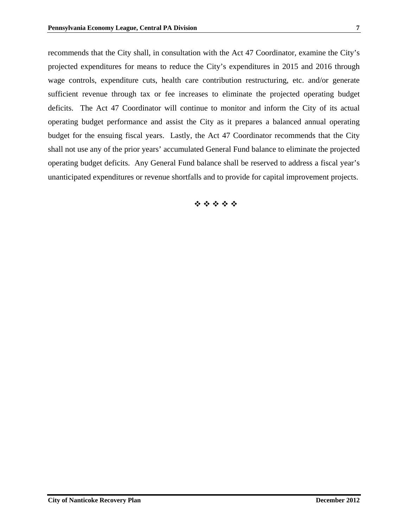recommends that the City shall, in consultation with the Act 47 Coordinator, examine the City's projected expenditures for means to reduce the City's expenditures in 2015 and 2016 through wage controls, expenditure cuts, health care contribution restructuring, etc. and/or generate sufficient revenue through tax or fee increases to eliminate the projected operating budget deficits. The Act 47 Coordinator will continue to monitor and inform the City of its actual operating budget performance and assist the City as it prepares a balanced annual operating budget for the ensuing fiscal years. Lastly, the Act 47 Coordinator recommends that the City shall not use any of the prior years' accumulated General Fund balance to eliminate the projected operating budget deficits. Any General Fund balance shall be reserved to address a fiscal year's unanticipated expenditures or revenue shortfalls and to provide for capital improvement projects.

\*\*\*\*\*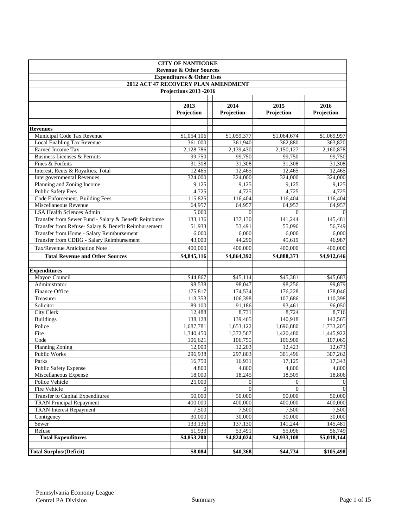|                                                                             | <b>CITY OF NANTICOKE</b>      |                          |                          |                              |  |  |  |  |  |
|-----------------------------------------------------------------------------|-------------------------------|--------------------------|--------------------------|------------------------------|--|--|--|--|--|
| <b>Revenue &amp; Other Sources</b>                                          |                               |                          |                          |                              |  |  |  |  |  |
| <b>Expenditures &amp; Other Uses</b><br>2012 ACT 47 RECOVERY PLAN AMENDMENT |                               |                          |                          |                              |  |  |  |  |  |
|                                                                             |                               |                          |                          |                              |  |  |  |  |  |
|                                                                             | <b>Projections 2013 -2016</b> |                          |                          |                              |  |  |  |  |  |
|                                                                             |                               |                          |                          |                              |  |  |  |  |  |
|                                                                             | 2013                          | 2014                     | 2015                     | 2016                         |  |  |  |  |  |
|                                                                             | Projection                    | Projection               | Projection               | Projection                   |  |  |  |  |  |
|                                                                             |                               |                          |                          |                              |  |  |  |  |  |
| <b>Revenues</b>                                                             |                               |                          |                          |                              |  |  |  |  |  |
| Municipal Code Tax Revenue                                                  | \$1,054,106                   | \$1,059,377              | \$1,064,674              | \$1,069,997                  |  |  |  |  |  |
| Local Enabling Tax Revenue                                                  | 361,000                       | 361,940                  | 362,880                  | 363,820                      |  |  |  |  |  |
| Earned Income Tax                                                           | 2,128,786                     | 2,139,430                | 2,150,127                | 2,160,878                    |  |  |  |  |  |
| Business Licenses & Permits                                                 | 99,750                        | 99,750                   | 99,750                   | 99,750                       |  |  |  |  |  |
| Fines & Forfeits                                                            | 31,308                        | 31,308                   | 31,308                   | 31,308                       |  |  |  |  |  |
| Interest, Rents & Royalties, Total                                          | 12,465                        | 12,465                   | 12,465                   | 12,465                       |  |  |  |  |  |
| <b>Intergovernmental Revenues</b>                                           | 324,000                       | 324,000                  | 324,000                  | 324,000                      |  |  |  |  |  |
| Planning and Zoning Income                                                  | 9,125                         | 9,125                    | 9,125                    | 9,125                        |  |  |  |  |  |
| <b>Public Safety Fees</b>                                                   | 4,725                         | 4,725                    | 4,725                    | 4,725                        |  |  |  |  |  |
| Code Enforcement, Building Fees                                             | 115,825                       | 116,404                  | 116,404                  | 116,404                      |  |  |  |  |  |
| Miscellaneous Revenue                                                       | 64,957                        | 64,957                   | 64,957                   | 64,957                       |  |  |  |  |  |
| <b>LSA Health Sciences Admin</b>                                            | 5,000                         | $\theta$                 | $\Omega$                 | $\Omega$                     |  |  |  |  |  |
| Transfer from Sewer Fund - Salary & Benefit Reimburse                       | 133,136                       | 137,130                  | 141,244                  | 145,481                      |  |  |  |  |  |
| Transfer from Refuse- Salary & Benefit Reimbursement                        | 51,933                        | 53,491                   | 55,096                   | 56,749                       |  |  |  |  |  |
| Transfer from Home - Salary Reimbursement                                   | 6,000                         | 6,000                    | 6,000                    | 6,000<br>46,987              |  |  |  |  |  |
| <b>Transfer from CDBG - Salary Reimbursement</b>                            | 43,000                        | 44,290                   | 45,619                   |                              |  |  |  |  |  |
| Tax/Revenue Anticipation Note                                               | 400,000                       | 400,000                  | 400,000                  | 400,000                      |  |  |  |  |  |
| <b>Total Revenue and Other Sources</b>                                      | \$4,845,116                   | \$4,864,392              | \$4,888,373              | \$4,912,646                  |  |  |  |  |  |
|                                                                             |                               |                          |                          |                              |  |  |  |  |  |
| <b>Expenditures</b>                                                         |                               |                          |                          |                              |  |  |  |  |  |
| Mayor/ Council                                                              | \$44,867                      | \$45,114                 | \$45,381                 | \$45,683                     |  |  |  |  |  |
| Administrator                                                               | 98,538                        | 98,047                   | 98,256                   | 99,879                       |  |  |  |  |  |
| Finance Office                                                              | 175,817                       | 174,534                  | 176,228                  | 178,046                      |  |  |  |  |  |
| Treasurer                                                                   | 113,353                       | 106,398                  | 107,686                  | 110,398                      |  |  |  |  |  |
| Solicitor                                                                   | 89,100                        | 91,186                   | 93,461                   | 96,050                       |  |  |  |  |  |
| <b>City Clerk</b>                                                           | 12,488                        | 8,731                    | 8,724                    | 8,716                        |  |  |  |  |  |
| <b>Buildings</b>                                                            | 138,128                       | 139,465                  | 140,918                  | 142,565                      |  |  |  |  |  |
| Police                                                                      | 1,687,781                     | 1,653,122                | 1,696,880                | 1,733,205                    |  |  |  |  |  |
| Fire<br>Code                                                                | 1,340,450                     | 1,372,567                | 1,420,480                | 1,445,922                    |  |  |  |  |  |
| <b>Planning Zoning</b>                                                      | 106,621                       | 106,755                  | 106,900                  | 107,065                      |  |  |  |  |  |
|                                                                             | 12,000                        | 12,203<br>297,803        | 12,423<br>301,496        | 12,673                       |  |  |  |  |  |
| Public Works                                                                | 296,938                       |                          |                          | 307,262                      |  |  |  |  |  |
| Parks<br>Public Safety Expense                                              | 16,750<br>4,800               | 16,931<br>4,800          | 17,125<br>4,800          | 17,343<br>4,800              |  |  |  |  |  |
| Miscellaneous Expense                                                       | 18,000                        |                          |                          |                              |  |  |  |  |  |
| Police Vehicle                                                              | 25,000                        | 18,245                   | 18,509                   | 18,806                       |  |  |  |  |  |
| Fire Vehicle                                                                | $\theta$                      | $\mathbf{0}$<br>$\Omega$ | $\mathbf{0}$<br>$\Omega$ | $\mathbf{0}$<br>$\mathbf{0}$ |  |  |  |  |  |
|                                                                             | 50,000                        | 50,000                   |                          |                              |  |  |  |  |  |
| <b>Transfer to Capital Expenditures</b><br><b>TRAN Principal Repayment</b>  | 400,000                       | 400,000                  | 50,000<br>400,000        | 50,000<br>400,000            |  |  |  |  |  |
| <b>TRAN</b> Interest Repayment                                              |                               |                          |                          |                              |  |  |  |  |  |
|                                                                             | 7,500                         | 7,500                    | 7,500                    | 7,500                        |  |  |  |  |  |
| Contigency<br>Sewer                                                         | 30,000<br>133,136             | 30,000                   | 30,000<br>141,244        | 30,000<br>145,481            |  |  |  |  |  |
| Refuse                                                                      | 51,933                        | 137,130<br>53,491        | 55,096                   | 56,749                       |  |  |  |  |  |
| <b>Total Expenditures</b>                                                   | \$4,853,200                   | \$4,824,024              | \$4,933,108              | \$5,018,144                  |  |  |  |  |  |
|                                                                             |                               |                          |                          |                              |  |  |  |  |  |
| <b>Total Surplus/(Deficit)</b>                                              | $-$ \$8,084                   | \$40,368                 | $-$ \$44,734             | $-$ \$105,498                |  |  |  |  |  |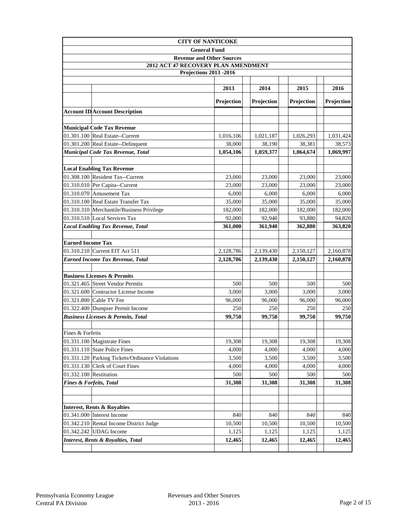|                          | <b>CITY OF NANTICOKE</b>                        |                                  |            |            |            |
|--------------------------|-------------------------------------------------|----------------------------------|------------|------------|------------|
|                          |                                                 | <b>General Fund</b>              |            |            |            |
|                          |                                                 | <b>Revenue and Other Sources</b> |            |            |            |
|                          | 2012 ACT 47 RECOVERY PLAN AMENDMENT             |                                  |            |            |            |
|                          |                                                 | Projections 2013 -2016           |            |            |            |
|                          |                                                 |                                  |            |            |            |
|                          |                                                 | 2013                             | 2014       | 2015       | 2016       |
|                          |                                                 | Projection                       | Projection | Projection | Projection |
|                          | <b>Account ID Account Description</b>           |                                  |            |            |            |
|                          | <b>Municipal Code Tax Revenue</b>               |                                  |            |            |            |
|                          | 01.301.100 Real Estate--Current                 | 1,016,106                        | 1,021,187  | 1,026,293  | 1,031,424  |
|                          | 01.301.200 Real Estate--Delinquent              | 38,000                           | 38,190     | 38,381     | 38,573     |
|                          | Municipal Code Tax Revenue, Total               | 1,054,106                        | 1,059,377  | 1,064,674  | 1,069,997  |
|                          |                                                 |                                  |            |            |            |
|                          | <b>Local Enabling Tax Revenue</b>               |                                  |            |            |            |
|                          | 01.308.100 Resident Tax--Current                | 23,000                           | 23,000     | 23,000     | 23,000     |
|                          | 01.310.010 Per Capita--Current                  | 23,000                           | 23,000     | 23,000     | 23,000     |
|                          | 01.310.070 Amusement Tax                        | 6,000                            | 6,000      | 6.000      | 6,000      |
|                          | 01.310.100 Real Estate Transfer Tax             | 35,000                           | 35,000     | 35,000     | 35,000     |
|                          | 01.310.310 Merchantile/Business Privilege       | 182,000                          | 182,000    | 182,000    | 182,000    |
|                          | 01.310.510 Local Services Tax                   | 92,000                           | 92,940     | 93,880     | 94,820     |
|                          | <b>Local Enabling Tax Revenue, Total</b>        | 361,000                          | 361,940    | 362,880    | 363,820    |
|                          |                                                 |                                  |            |            |            |
| <b>Earned Income Tax</b> |                                                 |                                  |            |            |            |
|                          | 01.310.210 Current EIT Act 511                  | 2,128,786                        | 2,139,430  | 2,150,127  | 2,160,878  |
|                          | <b>Earned Income Tax Revenue, Total</b>         | 2,128,786                        | 2,139,430  | 2,150,127  | 2,160,878  |
|                          | <b>Business Licenses &amp; Permits</b>          |                                  |            |            |            |
|                          | 01.321.465 Street Vendor Permits                | 500                              | 500        | 500        | 500        |
|                          | 01.321.600 Contractor License Income            | 3,000                            | 3,000      | 3,000      | 3,000      |
|                          | 01.321.800 Cable TV Fee                         | 96,000                           | 96,000     | 96,000     | 96,000     |
|                          | 01.322.400 Dumpser Permit Income                | 250                              | 250        | 250        | 250        |
|                          | <b>Business Licenses &amp; Permits, Total</b>   | 99,750                           | 99,750     | 99,750     | 99,750     |
|                          |                                                 |                                  |            |            |            |
| Fines & Forfeits         |                                                 |                                  |            |            |            |
|                          | $01.331.100$ Magistrate Fines                   | 19,308                           | 19,308     | 19,308     | 19,308     |
|                          | 01.331.110 State Police Fines                   | 4.000                            | 4,000      | 4,000      | 4,000      |
|                          | 01.331.120 Parking Tickets/Ordinance Violations | 3,500                            | 3,500      | 3,500      | 3,500      |
|                          | 01.331.130 Clerk of Court Fines                 | 4,000                            | 4,000      | 4,000      | 4,000      |
| 01.332.100 Restitution   |                                                 | 500                              | 500        | 500        | 500        |
|                          | <b>Fines &amp; Forfeits, Total</b>              | 31,308                           | 31,308     | 31,308     | 31,308     |
|                          |                                                 |                                  |            |            |            |
|                          | <b>Interest, Rents &amp; Royalties</b>          |                                  |            |            |            |
|                          | $01.341.000$ Interest Income                    | 840                              | 840        | 840        | 840        |
|                          | 01.342.210 Rental Income District Judge         | 10,500                           | 10,500     | 10,500     | 10,500     |
|                          | 01.342.242 UDAG Income                          | 1,125                            | 1,125      | 1,125      | 1,125      |
|                          | <b>Interest, Rents &amp; Royalties, Total</b>   | 12,465                           | 12,465     | 12,465     | 12,465     |
|                          |                                                 |                                  |            |            |            |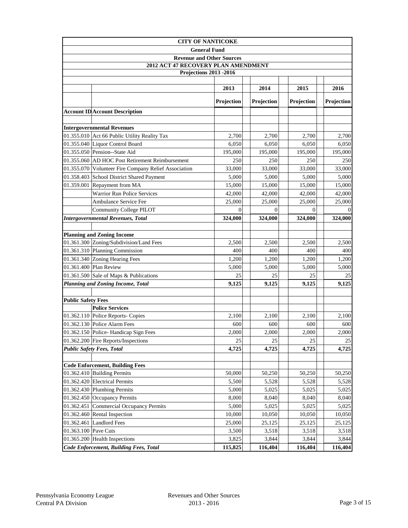|                           | <b>CITY OF NANTICOKE</b>                             |                                  |            |                   |            |  |
|---------------------------|------------------------------------------------------|----------------------------------|------------|-------------------|------------|--|
|                           |                                                      | <b>General Fund</b>              |            |                   |            |  |
|                           |                                                      | <b>Revenue and Other Sources</b> |            |                   |            |  |
|                           | 2012 ACT 47 RECOVERY PLAN AMENDMENT                  |                                  |            |                   |            |  |
|                           |                                                      | <b>Projections 2013 -2016</b>    |            |                   |            |  |
|                           |                                                      |                                  |            |                   |            |  |
|                           |                                                      | 2013                             | 2014       | 2015              | 2016       |  |
|                           |                                                      | <b>Projection</b>                | Projection | <b>Projection</b> | Projection |  |
|                           | <b>Account ID Account Description</b>                |                                  |            |                   |            |  |
|                           |                                                      |                                  |            |                   |            |  |
|                           | <b>Intergovernmental Revenues</b>                    |                                  |            |                   |            |  |
|                           | 01.355.010 Act 66 Public Utility Reality Tax         | 2,700                            | 2,700      | 2,700             | 2,700      |  |
|                           | 01.355.040 Liquor Control Board                      | 6,050                            | 6,050      | 6,050             | 6,050      |  |
|                           | 01.355.050 Pension--State Aid                        | 195,000                          | 195,000    | 195,000           | 195,000    |  |
|                           | 01.355.060 AD HOC Post Retirement Reimbursement      | 250                              | 250        | 250               | 250        |  |
|                           | 01.355.070 Volunteer Fire Company Relief Association | 33,000                           | 33,000     | 33,000            | 33,000     |  |
|                           | 01.358.403 School District Shared Payment            | 5,000                            | 5,000      | 5,000             | 5,000      |  |
|                           | 01.359.001 Repayment from MA                         | 15,000                           | 15,000     | 15,000            | 15,000     |  |
|                           | <b>Warrior Run Police Services</b>                   | 42,000                           | 42,000     | 42,000            | 42,000     |  |
|                           | Ambulance Service Fee                                | 25,000                           | 25,000     | 25,000            | 25,000     |  |
|                           | <b>Community College PILOT</b>                       | $\Omega$                         | $\Omega$   | $\Omega$          |            |  |
|                           | <b>Intergovernmental Revenues, Total</b>             | 324,000                          | 324,000    | 324,000           | 324,000    |  |
|                           |                                                      |                                  |            |                   |            |  |
|                           | <b>Planning and Zoning Income</b>                    |                                  |            |                   |            |  |
|                           | 01.361.300 Zoning/Subdivision/Land Fees              | 2,500                            | 2,500      | 2,500             | 2,500      |  |
|                           | 01.361.310 Planning Commission                       | 400                              | 400        | 400               | 400        |  |
|                           | 01.361.340 Zoning Hearing Fees                       | 1,200                            | 1,200      | 1,200             | 1,200      |  |
|                           | 01.361.400 Plan Review                               | 5,000                            | 5,000      | 5,000             | 5,000      |  |
|                           | 01.361.500 Sale of Maps & Publications               | 25                               | 25         | 25                | 25         |  |
|                           | <b>Planning and Zoning Income, Total</b>             | 9,125                            | 9,125      | 9,125             | 9,125      |  |
| <b>Public Safety Fees</b> |                                                      |                                  |            |                   |            |  |
|                           | <b>Police Services</b>                               |                                  |            |                   |            |  |
|                           | 01.362.110 Police Reports- Copies                    | 2,100                            | 2,100      | 2,100             | 2,100      |  |
|                           | 01.362.130 Police Alarm Fees                         | 600                              | 600        | 600               | 600        |  |
|                           | 01.362.150 Police-Handicap Sign Fees                 | 2.000                            | 2,000      | 2,000             | 2,000      |  |
|                           | 01.362.200 Fire Reports/Inspections                  | 25                               | 25         | 25                | 25         |  |
|                           | <b>Public Safety Fees, Total</b>                     | 4,725                            | 4,725      | 4,725             | 4,725      |  |
|                           |                                                      |                                  |            |                   |            |  |
|                           | <b>Code Enforcement, Building Fees</b>               |                                  |            |                   |            |  |
|                           | 01.362.410 Building Permits                          | 50,000                           | 50,250     | 50,250            | 50,250     |  |
|                           | 01.362.420 Electrical Permits                        | 5,500                            | 5,528      | 5,528             | 5,528      |  |
|                           | 01.362.430 Plumbing Permits                          | 5,000                            | 5,025      | 5,025             | 5,025      |  |
|                           | 01.362.450 Occupancy Permits                         | 8,000                            | 8,040      | 8,040             | 8,040      |  |
| 01.362.451                | Commercial Occupancy Permits                         | 5,000                            | 5,025      | 5,025             | 5,025      |  |
| 01.362.460                | Rental Inspection                                    | 10,000                           | 10,050     | 10,050            | 10,050     |  |
|                           | 01.362.461 Landlord Fees                             | 25,000                           | 25,125     | 25,125            | 25,125     |  |
| 01.363.100 Pave Cuts      |                                                      | 3,500                            | 3,518      | 3,518             | 3,518      |  |
|                           | 01.365.200 Health Inspections                        | 3,825                            | 3,844      | 3,844             | 3,844      |  |
|                           | Code Enforcement, Building Fees, Total               | 115,825                          | 116,404    | 116,404           | 116,404    |  |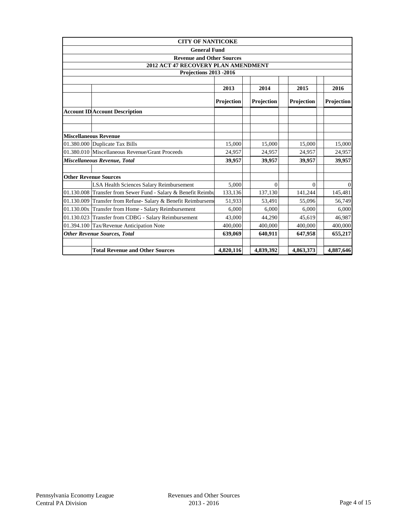|            | <b>CITY OF NANTICOKE</b>                                      |            |            |            |            |  |  |
|------------|---------------------------------------------------------------|------------|------------|------------|------------|--|--|
|            | <b>General Fund</b>                                           |            |            |            |            |  |  |
|            | <b>Revenue and Other Sources</b>                              |            |            |            |            |  |  |
|            | 2012 ACT 47 RECOVERY PLAN AMENDMENT                           |            |            |            |            |  |  |
|            | <b>Projections 2013 -2016</b>                                 |            |            |            |            |  |  |
|            |                                                               |            |            |            |            |  |  |
|            |                                                               | 2013       | 2014       | 2015       | 2016       |  |  |
|            |                                                               | Projection | Projection | Projection | Projection |  |  |
|            | <b>Account ID Account Description</b>                         |            |            |            |            |  |  |
|            |                                                               |            |            |            |            |  |  |
|            |                                                               |            |            |            |            |  |  |
|            | <b>Miscellaneous Revenue</b>                                  |            |            |            |            |  |  |
|            | 01.380.000 Duplicate Tax Bills                                | 15,000     | 15,000     | 15,000     | 15,000     |  |  |
|            | 01.380.010 Miscellaneous Revenue/Grant Proceeds               | 24,957     | 24,957     | 24,957     | 24,957     |  |  |
|            | Miscellaneous Revenue, Total                                  | 39,957     | 39,957     | 39,957     | 39,957     |  |  |
|            | <b>Other Revenue Sources</b>                                  |            |            |            |            |  |  |
|            | LSA Health Sciences Salary Reimbursement                      | 5.000      | $\theta$   | 0          | $\Omega$   |  |  |
|            | 01.130.008 Transfer from Sewer Fund - Salary & Benefit Reimbu | 133,136    | 137,130    | 141,244    | 145,481    |  |  |
| 01.130.009 | Transfer from Refuse- Salary & Benefit Reimburseme            | 51,933     | 53,491     | 55,096     | 56,749     |  |  |
|            | 01.130.00x Transfer from Home - Salary Reimbursement          | 6,000      | 6.000      | 6,000      | 6,000      |  |  |
| 01.130.023 | Transfer from CDBG - Salary Reimbursement                     | 43,000     | 44.290     | 45,619     | 46,987     |  |  |
|            | 01.394.100 Tax/Revenue Anticipation Note                      | 400,000    | 400,000    | 400,000    | 400,000    |  |  |
|            | <b>Other Revenue Sources, Total</b>                           | 639,069    | 640,911    | 647,958    | 655,217    |  |  |
|            |                                                               |            |            |            |            |  |  |
|            | <b>Total Revenue and Other Sources</b>                        | 4,820,116  | 4,839,392  | 4,863,373  | 4,887,646  |  |  |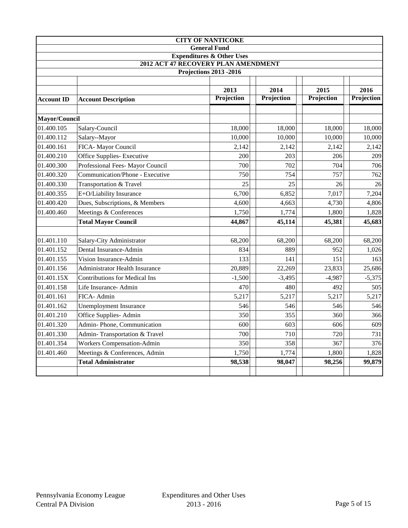|                   |                                                                             | <b>CITY OF NANTICOKE</b>      |            |            |            |  |  |  |
|-------------------|-----------------------------------------------------------------------------|-------------------------------|------------|------------|------------|--|--|--|
|                   |                                                                             | <b>General Fund</b>           |            |            |            |  |  |  |
|                   | <b>Expenditures &amp; Other Uses</b><br>2012 ACT 47 RECOVERY PLAN AMENDMENT |                               |            |            |            |  |  |  |
|                   |                                                                             | <b>Projections 2013 -2016</b> |            |            |            |  |  |  |
|                   |                                                                             |                               |            |            |            |  |  |  |
|                   |                                                                             | 2013                          | 2014       | 2015       | 2016       |  |  |  |
| <b>Account ID</b> | <b>Account Description</b>                                                  | Projection                    | Projection | Projection | Projection |  |  |  |
| Mayor/Council     |                                                                             |                               |            |            |            |  |  |  |
| 01.400.105        | Salary-Council                                                              | 18,000                        | 18,000     | 18,000     | 18,000     |  |  |  |
| 01.400.112        | Salary--Mayor                                                               | 10,000                        | 10,000     | 10,000     | 10,000     |  |  |  |
| 01.400.161        | FICA- Mayor Council                                                         | 2,142                         | 2,142      | 2,142      | 2,142      |  |  |  |
| 01.400.210        | Office Supplies- Executive                                                  | 200                           | 203        | 206        | 209        |  |  |  |
| 01.400.300        | Professional Fees- Mayor Council                                            | 700                           | 702        | 704        | 706        |  |  |  |
| 01.400.320        | Communication/Phone - Executive                                             | 750                           | 754        | 757        | 762        |  |  |  |
| 01.400.330        | Transportation & Travel                                                     | 25                            | 25         | 26         | 26         |  |  |  |
| 01.400.355        | E+O/Liability Insurance                                                     | 6,700                         | 6,852      | 7,017      | 7,204      |  |  |  |
| 01.400.420        | Dues, Subscriptions, & Members                                              | 4,600                         | 4,663      | 4,730      | 4,806      |  |  |  |
| 01.400.460        | Meetings & Conferences                                                      | 1,750                         | 1,774      | 1,800      | 1,828      |  |  |  |
|                   | <b>Total Mayor Council</b>                                                  | 44,867                        | 45,114     | 45,381     | 45,683     |  |  |  |
|                   |                                                                             |                               |            |            |            |  |  |  |
| 01.401.110        | Salary-City Administrator                                                   | 68,200                        | 68,200     | 68,200     | 68,200     |  |  |  |
| 01.401.152        | Dental Insurance-Admin                                                      | 834                           | 889        | 952        | 1,026      |  |  |  |
| 01.401.155        | Vision Insurance-Admin                                                      | 133                           | 141        | 151        | 163        |  |  |  |
| 01.401.156        | Administrator Health Insurance                                              | 20,889                        | 22,269     | 23,833     | 25,686     |  |  |  |
| 01.401.15X        | <b>Contributions for Medical Ins</b>                                        | $-1,500$                      | $-3,495$   | $-4,987$   | $-5,375$   |  |  |  |
| 01.401.158        | Life Insurance- Admin                                                       | 470                           | 480        | 492        | 505        |  |  |  |
| 01.401.161        | FICA- Admin                                                                 | 5,217                         | 5,217      | 5,217      | 5,217      |  |  |  |
| 01.401.162        | <b>Unemployment Insurance</b>                                               | 546                           | 546        | 546        | 546        |  |  |  |
| 01.401.210        | Office Supplies-Admin                                                       | 350                           | 355        | 360        | 366        |  |  |  |
| 01.401.320        | Admin-Phone, Communication                                                  | 600                           | 603        | 606        | 609        |  |  |  |
| 01.401.330        | Admin-Transportation & Travel                                               | 700                           | 710        | 720        | 731        |  |  |  |
| 01.401.354        | <b>Workers Compensation-Admin</b>                                           | 350                           | 358        | 367        | 376        |  |  |  |
| 01.401.460        | Meetings & Conferences, Admin                                               | 1,750                         | 1,774      | 1,800      | 1,828      |  |  |  |
|                   | <b>Total Administrator</b>                                                  | 98,538                        | 98,047     | 98,256     | 99,879     |  |  |  |
|                   |                                                                             |                               |            |            |            |  |  |  |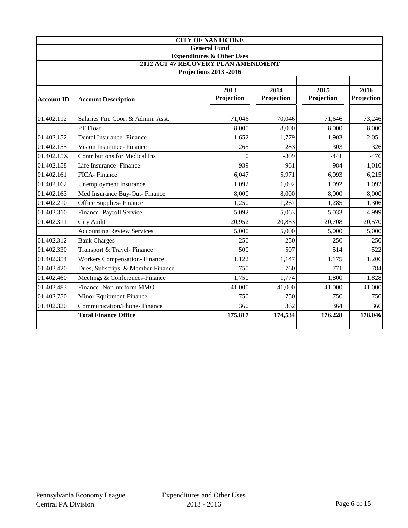|                              |                                                                             | <b>CITY OF NANTICOKE</b>      |            |            |            |  |  |  |
|------------------------------|-----------------------------------------------------------------------------|-------------------------------|------------|------------|------------|--|--|--|
|                              |                                                                             | <b>General Fund</b>           |            |            |            |  |  |  |
|                              | <b>Expenditures &amp; Other Uses</b><br>2012 ACT 47 RECOVERY PLAN AMENDMENT |                               |            |            |            |  |  |  |
|                              |                                                                             | <b>Projections 2013 -2016</b> |            |            |            |  |  |  |
|                              |                                                                             |                               |            |            |            |  |  |  |
| 2014<br>2015<br>2013<br>2016 |                                                                             |                               |            |            |            |  |  |  |
| <b>Account ID</b>            | <b>Account Description</b>                                                  | Projection                    | Projection | Projection | Projection |  |  |  |
|                              |                                                                             |                               |            |            |            |  |  |  |
| 01.402.112                   | Salaries Fin. Coor. & Admin. Asst.                                          | 71,046                        | 70,046     | 71,646     | 73,246     |  |  |  |
|                              | PT Float                                                                    | 8,000                         | 8,000      | 8,000      | 8,000      |  |  |  |
| 01.402.152                   | Dental Insurance-Finance                                                    | 1,652                         | 1,779      | 1,903      | 2,051      |  |  |  |
| 01.402.155                   | Vision Insurance-Finance                                                    | 265                           | 283        | 303        | 326        |  |  |  |
| 01.402.15X                   | <b>Contributions for Medical Ins</b>                                        | $\theta$                      | $-309$     | $-441$     | $-476$     |  |  |  |
| 01.402.158                   | Life Insurance-Finance                                                      | 939                           | 961        | 984        | 1,010      |  |  |  |
| 01.402.161                   | FICA-Finance                                                                | 6,047                         | 5,971      | 6,093      | 6,215      |  |  |  |
| 01.402.162                   | <b>Unemployment Insurance</b>                                               | 1,092                         | 1,092      | 1,092      | 1,092      |  |  |  |
| 01.402.163                   | Med Insurance Buy-Out-Finance                                               | 8,000                         | 8,000      | 8,000      | 8,000      |  |  |  |
| 01.402.210                   | Office Supplies-Finance                                                     | 1,250                         | 1,267      | 1,285      | 1,306      |  |  |  |
| 01.402.310                   | Finance- Payroll Service                                                    | 5,092                         | 5,063      | 5,033      | 4,999      |  |  |  |
| 01.402.311                   | <b>City Audit</b>                                                           | 20,952                        | 20,833     | 20,708     | 20,570     |  |  |  |
|                              | <b>Accounting Review Services</b>                                           | 5,000                         | 5,000      | 5,000      | 5,000      |  |  |  |
| 01.402.312                   | <b>Bank Charges</b>                                                         | 250                           | 250        | 250        | 250        |  |  |  |
| 01.402.330                   | Transport & Travel- Finance                                                 | 500                           | 507        | 514        | 522        |  |  |  |
| 01.402.354                   | <b>Workers Compensation-Finance</b>                                         | 1,122                         | 1,147      | 1,175      | 1,206      |  |  |  |
| 01.402.420                   | Dues, Subscrips, & Member-Finance                                           | 750                           | 760        | 771        | 784        |  |  |  |
| 01.402.460                   | Meetings & Conferences-Finance                                              | 1,750                         | 1,774      | 1,800      | 1,828      |  |  |  |
| 01.402.483                   | Finance- Non-uniform MMO                                                    | 41,000                        | 41,000     | 41,000     | 41,000     |  |  |  |
| 01.402.750                   | Minor Equipment-Finance                                                     | 750                           | 750        | 750        | 750        |  |  |  |
| 01.402.320                   | <b>Communication/Phone-Finance</b>                                          | 360                           | 362        | 364        | 366        |  |  |  |
|                              | <b>Total Finance Office</b>                                                 | 175,817                       | 174,534    | 176,228    | 178,046    |  |  |  |
|                              |                                                                             |                               |            |            |            |  |  |  |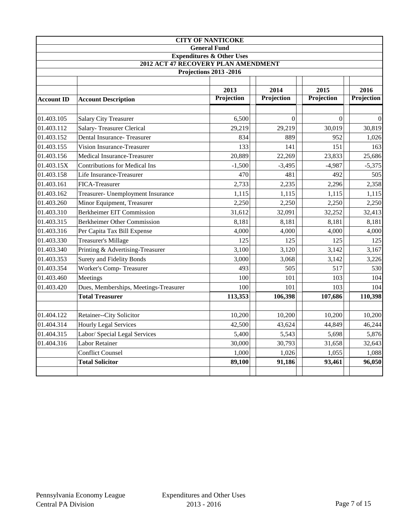|                   |                                       | <b>CITY OF NANTICOKE</b>             |                |                |            |
|-------------------|---------------------------------------|--------------------------------------|----------------|----------------|------------|
|                   |                                       | <b>General Fund</b>                  |                |                |            |
|                   |                                       | <b>Expenditures &amp; Other Uses</b> |                |                |            |
|                   | 2012 ACT 47 RECOVERY PLAN AMENDMENT   | <b>Projections 2013 -2016</b>        |                |                |            |
|                   |                                       |                                      |                |                |            |
|                   |                                       | 2013                                 | 2014           | 2015           | 2016       |
| <b>Account ID</b> | <b>Account Description</b>            | Projection                           | Projection     | Projection     | Projection |
|                   |                                       |                                      |                |                |            |
| 01.403.105        | <b>Salary City Treasurer</b>          | 6,500                                | $\overline{0}$ | $\overline{0}$ | $\Omega$   |
| 01.403.112        | <b>Salary-Treasurer Clerical</b>      | 29,219                               | 29,219         | 30,019         | 30,819     |
| 01.403.152        | Dental Insurance-Treasurer            | 834                                  | 889            | 952            | 1,026      |
| 01.403.155        | Vision Insurance-Treasurer            | 133                                  | 141            | 151            | 163        |
| 01.403.156        | Medical Insurance-Treasurer           | 20,889                               | 22,269         | 23,833         | 25,686     |
| 01.403.15X        | <b>Contributions for Medical Ins</b>  | $-1,500$                             | $-3,495$       | $-4,987$       | $-5,375$   |
| 01.403.158        | Life Insurance-Treasurer              | 470                                  | 481            | 492            | 505        |
| 01.403.161        | FICA-Treasurer                        | 2,733                                | 2,235          | 2,296          | 2,358      |
| 01.403.162        | Treasurer- Unemployment Insurance     | 1,115                                | 1,115          | 1,115          | 1,115      |
| 01.403.260        | Minor Equipment, Treasurer            | 2,250                                | 2,250          | 2,250          | 2,250      |
| 01.403.310        | <b>Berkheimer EIT Commission</b>      | 31,612                               | 32,091         | 32,252         | 32,413     |
| 01.403.315        | Berkheimer Other Commission           | 8,181                                | 8,181          | 8,181          | 8,181      |
| 01.403.316        | Per Capita Tax Bill Expense           | 4,000                                | 4,000          | 4,000          | 4,000      |
| 01.403.330        | Treasurer's Millage                   | 125                                  | 125            | 125            | 125        |
| 01.403.340        | Printing & Advertising-Treasurer      | 3,100                                | 3,120          | 3,142          | 3,167      |
| 01.403.353        | <b>Surety and Fidelity Bonds</b>      | 3,000                                | 3,068          | 3,142          | 3,226      |
| 01.403.354        | Worker's Comp-Treasurer               | 493                                  | 505            | 517            | 530        |
| 01.403.460        | Meetings                              | 100                                  | 101            | 103            | 104        |
| 01.403.420        | Dues, Memberships, Meetings-Treasurer | 100                                  | 101            | 103            | 104        |
|                   | <b>Total Treasurer</b>                | 113,353                              | 106,398        | 107,686        | 110,398    |
|                   |                                       |                                      |                |                |            |
| 01.404.122        | Retainer--City Solicitor              | 10,200                               | 10,200         | 10,200         | 10,200     |
| 01.404.314        | <b>Hourly Legal Services</b>          | 42,500                               | 43,624         | 44,849         | 46,244     |
| 01.404.315        | Labor/ Special Legal Services         | 5,400                                | 5,543          | 5,698          | 5,876      |
| 01.404.316        | <b>Labor Retainer</b>                 | 30,000                               | 30,793         | 31,658         | 32,643     |
|                   | <b>Conflict Counsel</b>               | 1,000                                | 1,026          | 1,055          | 1,088      |
|                   | <b>Total Solicitor</b>                | 89,100                               | 91,186         | 93,461         | 96,050     |
|                   |                                       |                                      |                |                |            |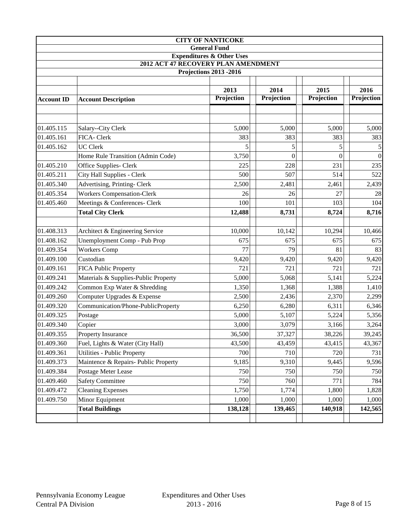|                   |                                      | <b>CITY OF NANTICOKE</b>                                                    |            |                |            |
|-------------------|--------------------------------------|-----------------------------------------------------------------------------|------------|----------------|------------|
|                   |                                      | <b>General Fund</b>                                                         |            |                |            |
|                   |                                      | <b>Expenditures &amp; Other Uses</b><br>2012 ACT 47 RECOVERY PLAN AMENDMENT |            |                |            |
|                   |                                      | <b>Projections 2013 -2016</b>                                               |            |                |            |
|                   |                                      |                                                                             |            |                |            |
|                   |                                      | 2013                                                                        | 2014       | 2015           | 2016       |
| <b>Account ID</b> | <b>Account Description</b>           | Projection                                                                  | Projection | Projection     | Projection |
|                   |                                      |                                                                             |            |                |            |
| 01.405.115        | Salary--City Clerk                   | 5,000                                                                       | 5,000      | 5,000          | 5,000      |
| 01.405.161        | FICA-Clerk                           | 383                                                                         | 383        | 383            | 383        |
| 01.405.162        | <b>UC Clerk</b>                      | 5                                                                           | 5          | 5              |            |
|                   | Home Rule Transition (Admin Code)    | 3,750                                                                       | $\theta$   | $\overline{0}$ | $\Omega$   |
| 01.405.210        | Office Supplies- Clerk               | 225                                                                         | 228        | 231            | 235        |
| 01.405.211        | City Hall Supplies - Clerk           | 500                                                                         | 507        | 514            | 522        |
| 01.405.340        | Advertising, Printing-Clerk          | 2,500                                                                       | 2,481      | 2,461          | 2,439      |
| 01.405.354        | <b>Workers Compensation-Clerk</b>    | 26                                                                          | 26         | 27             | 28         |
| 01.405.460        | Meetings & Conferences- Clerk        | 100                                                                         | 101        | 103            | 104        |
|                   | <b>Total City Clerk</b>              | 12,488                                                                      | 8,731      | 8,724          | 8,716      |
|                   |                                      |                                                                             |            |                |            |
| 01.408.313        | Architect & Engineering Service      | 10,000                                                                      | 10,142     | 10,294         | 10,466     |
| 01.408.162        | Unemployment Comp - Pub Prop         | 675                                                                         | 675        | 675            | 675        |
| 01.409.354        | <b>Workers Comp</b>                  | 77                                                                          | 79         | 81             | 83         |
| 01.409.100        | Custodian                            | 9,420                                                                       | 9,420      | 9,420          | 9,420      |
| 01.409.161        | <b>FICA Public Property</b>          | 721                                                                         | 721        | 721            | 721        |
| 01.409.241        | Materials & Supplies-Public Property | 5,000                                                                       | 5,068      | 5,141          | 5,224      |
| 01.409.242        | Common Exp Water & Shredding         | 1,350                                                                       | 1,368      | 1,388          | 1,410      |
| 01.409.260        | Computer Upgrades & Expense          | 2,500                                                                       | 2,436      | 2,370          | 2,299      |
| 01.409.320        | Communication/Phone-PublicProperty   | 6,250                                                                       | 6,280      | 6,311          | 6,346      |
| 01.409.325        | Postage                              | 5,000                                                                       | 5,107      | 5,224          | 5,356      |
| 01.409.340        | Copier                               | 3,000                                                                       | 3,079      | 3,166          | 3,264      |
| 01.409.355        | Property Insurance                   | 36,500                                                                      | 37,327     | 38,226         | 39,245     |
| 01.409.360        | Fuel, Lights & Water (City Hall)     | 43,500                                                                      | 43,459     | 43,415         | 43,367     |
| 01.409.361        | Utilities - Public Property          | 700                                                                         | 710        | 720            | 731        |
| 01.409.373        | Maintence & Repairs- Public Property | 9,185                                                                       | 9,310      | 9,445          | 9,596      |
| 01.409.384        | Postage Meter Lease                  | 750                                                                         | 750        | 750            | 750        |
| 01.409.460        | <b>Safety Committee</b>              | 750                                                                         | 760        | 771            | 784        |
| 01.409.472        | <b>Cleaning Expenses</b>             | 1,750                                                                       | 1,774      | 1,800          | 1,828      |
| 01.409.750        | Minor Equipment                      | 1,000                                                                       | 1,000      | 1,000          | 1,000      |
|                   | <b>Total Buildings</b>               | 138,128                                                                     | 139,465    | 140,918        | 142,565    |
|                   |                                      |                                                                             |            |                |            |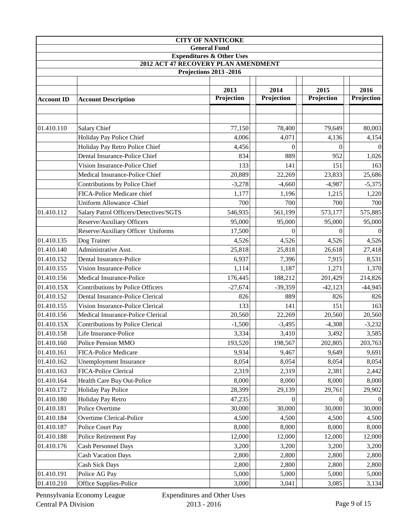|                   |                                        | <b>CITY OF NANTICOKE</b>             |                |                  |            |
|-------------------|----------------------------------------|--------------------------------------|----------------|------------------|------------|
|                   |                                        | <b>General Fund</b>                  |                |                  |            |
|                   | 2012 ACT 47 RECOVERY PLAN AMENDMENT    | <b>Expenditures &amp; Other Uses</b> |                |                  |            |
|                   |                                        | <b>Projections 2013 -2016</b>        |                |                  |            |
|                   |                                        |                                      |                |                  |            |
|                   |                                        | 2013                                 | 2014           | 2015             | 2016       |
| <b>Account ID</b> | <b>Account Description</b>             | Projection                           | Projection     | Projection       | Projection |
|                   |                                        |                                      |                |                  |            |
|                   |                                        |                                      |                |                  |            |
| 01.410.110        | Salary Chief                           | 77,150                               | 78,400         | 79,649           | 80,003     |
|                   | Holiday Pay Police Chief               | 4,006                                | 4,071          | 4,136            | 4,154      |
|                   | Holiday Pay Retro Police Chief         | 4,456                                | $\overline{0}$ | $\boldsymbol{0}$ | $\Omega$   |
|                   | Dental Insurance-Police Chief          | 834                                  | 889            | 952              | 1,026      |
|                   | Vision Insurance-Police Chief          | 133                                  | 141            | 151              | 163        |
|                   | Medical Insurance-Police Chief         | 20,889                               | 22,269         | 23,833           | 25,686     |
|                   | Contributions by Police Chief          | $-3,278$                             | $-4,660$       | $-4,987$         | $-5,375$   |
|                   | FICA-Police Medicare chief             | 1,177                                | 1,196          | 1,215            | 1,220      |
|                   | <b>Uniform Allowance -Chief</b>        | 700                                  | 700            | 700              | 700        |
| 01.410.112        | Salary Patrol Officers/Detectives/SGTS | 546,935                              | 561,199        | 573,177          | 575,885    |
|                   | Reserve/Auxiliary Officers             | 95,000                               | 95,000         | 95,000           | 95,000     |
|                   | Reserve/Auxiliary Officer Uniforms     | 17,500                               | $\Omega$       | $\Omega$         |            |
| 01.410.135        | Dog Trainer                            | 4,526                                | 4,526          | 4,526            | 4,526      |
| 01.410.140        | Administrative Asst.                   | 25,818                               | 25,818         | 26,618           | 27,418     |
| 01.410.152        | Dental Insurance-Police                | 6,937                                | 7,396          | 7,915            | 8,531      |
| 01.410.155        | Vision Insurance-Police                | 1,114                                | 1,187          | 1,271            | 1,370      |
| 01.410.156        | Medical Insurance-Police               | 176,445                              | 188,212        | 201,429          | 214,826    |
| 01.410.15X        | Contributions by Police Officers       | $-27,674$                            | $-39,359$      | $-42,123$        | $-44,945$  |
| 01.410.152        | Dental Insurance-Police Clerical       | 826                                  | 889            | 826              | 826        |
| 01.410.155        | Vision Insurance-Police Clerical       | 133                                  | 141            | 151              | 163        |
| 01.410.156        | Medical Insurance-Police Clerical      | 20,560                               | 22,269         | 20,560           | 20,560     |
| 01.410.15X        | Contributions by Police Clerical       | $-1,500$                             | $-3,495$       | $-4,308$         | $-3,232$   |
| 01.410.158        | Life Insurance-Police                  | 3,334                                | 3,410          | 3,492            | 3,585      |
| 01.410.160        | Police Pension MMO                     | 193,520                              | 198,567        | 202,805          | 203,763    |
| 01.410.161        | <b>FICA-Police Medicare</b>            | 9,934                                | 9,467          | 9,649            | 9,691      |
| 01.410.162        | <b>Unemployment Insurance</b>          | 8,054                                | 8,054          | 8,054            | 8,054      |
| 01.410.163        | FICA-Police Clerical                   | 2,319                                | 2,319          | 2,381            | 2,442      |
| 01.410.164        | Health Care Buy Out-Police             | 8,000                                | 8,000          | 8,000            | 8,000      |
| 01.410.172        | <b>Holiday Pay Police</b>              | 28,399                               | 29,139         | 29,761           | 29,902     |
| 01.410.180        | Holiday Pay Retro                      | 47,235                               | $\theta$       | 0                |            |
| 01.410.181        | Police Overtime                        | 30,000                               | 30,000         | 30,000           | 30,000     |
| 01.410.184        | Overtime Clerical-Police               | 4,500                                | 4,500          | 4,500            | 4,500      |
| 01.410.187        | Police Court Pay                       | 8,000                                | 8,000          | 8,000            | 8,000      |
| 01.410.188        | Police Retirement Pay                  | 12,000                               | 12,000         | 12,000           | 12,000     |
| 01.410.176        | Cash Personnel Days                    | 3,200                                | 3,200          | 3,200            | 3,200      |
|                   | <b>Cash Vacation Days</b>              | 2,800                                | 2,800          | 2,800            | 2,800      |
|                   | <b>Cash Sick Days</b>                  | 2,800                                | 2,800          | 2,800            | 2,800      |
| 01.410.191        | Police AG Pay                          | 5,000                                | 5,000          | 5,000            | 5,000      |
| 01.410.210        | Office Supplies-Police                 | 3,000                                | 3,041          | 3,085            | 3,134      |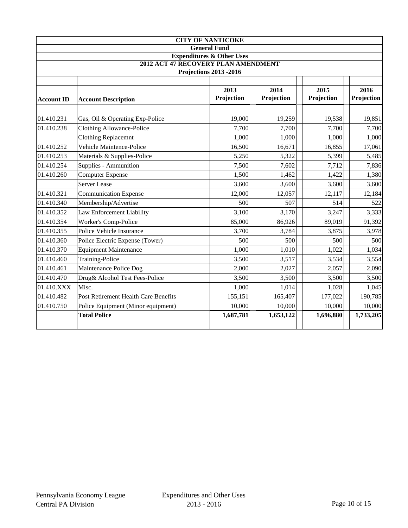|                   |                                                                             | <b>CITY OF NANTICOKE</b>      |            |            |            |  |  |
|-------------------|-----------------------------------------------------------------------------|-------------------------------|------------|------------|------------|--|--|
|                   |                                                                             | <b>General Fund</b>           |            |            |            |  |  |
|                   | <b>Expenditures &amp; Other Uses</b><br>2012 ACT 47 RECOVERY PLAN AMENDMENT |                               |            |            |            |  |  |
|                   |                                                                             | <b>Projections 2013 -2016</b> |            |            |            |  |  |
|                   |                                                                             |                               |            |            |            |  |  |
|                   |                                                                             | 2013                          | 2014       | 2015       | 2016       |  |  |
| <b>Account ID</b> | <b>Account Description</b>                                                  | Projection                    | Projection | Projection | Projection |  |  |
|                   |                                                                             |                               |            |            |            |  |  |
| 01.410.231        | Gas, Oil & Operating Exp-Police                                             | 19,000                        | 19,259     | 19,538     | 19,851     |  |  |
| 01.410.238        | <b>Clothing Allowance-Police</b>                                            | 7,700                         | 7,700      | 7,700      | 7,700      |  |  |
|                   | <b>Clothing Replacemnt</b>                                                  | 1,000                         | 1,000      | 1,000      | 1,000      |  |  |
| 01.410.252        | Vehicle Maintence-Police                                                    | 16,500                        | 16,671     | 16,855     | 17,061     |  |  |
| 01.410.253        | Materials & Supplies-Police                                                 | 5,250                         | 5,322      | 5,399      | 5,485      |  |  |
| 01.410.254        | Supplies - Ammunition                                                       | 7,500                         | 7,602      | 7,712      | 7,836      |  |  |
| 01.410.260        | <b>Computer Expense</b>                                                     | 1,500                         | 1,462      | 1,422      | 1,380      |  |  |
|                   | <b>Server Lease</b>                                                         | 3,600                         | 3,600      | 3,600      | 3,600      |  |  |
| 01.410.321        | <b>Communication Expense</b>                                                | 12,000                        | 12,057     | 12,117     | 12,184     |  |  |
| 01.410.340        | Membership/Advertise                                                        | 500                           | 507        | 514        | 522        |  |  |
| 01.410.352        | Law Enforcement Liability                                                   | 3,100                         | 3,170      | 3,247      | 3,333      |  |  |
| 01.410.354        | Worker's Comp-Police                                                        | 85,000                        | 86,926     | 89,019     | 91,392     |  |  |
| 01.410.355        | Police Vehicle Insurance                                                    | 3,700                         | 3,784      | 3,875      | 3,978      |  |  |
| 01.410.360        | Police Electric Expense (Tower)                                             | 500                           | 500        | 500        | 500        |  |  |
| 01.410.370        | <b>Equipment Maintenance</b>                                                | 1,000                         | 1,010      | 1,022      | 1,034      |  |  |
| 01.410.460        | Training-Police                                                             | 3,500                         | 3,517      | 3,534      | 3,554      |  |  |
| 01.410.461        | Maintenance Police Dog                                                      | 2,000                         | 2,027      | 2,057      | 2,090      |  |  |
| 01.410.470        | Drug& Alcohol Test Fees-Police                                              | 3,500                         | 3,500      | 3,500      | 3,500      |  |  |
| 01.410.XXX        | Misc.                                                                       | 1,000                         | 1,014      | 1,028      | 1,045      |  |  |
| 01.410.482        | <b>Post Retirement Health Care Benefits</b>                                 | 155,151                       | 165,407    | 177,022    | 190,785    |  |  |
| 01.410.750        | Police Equipment (Minor equipment)                                          | 10,000                        | 10,000     | 10,000     | 10,000     |  |  |
|                   | <b>Total Police</b>                                                         | 1,687,781                     | 1,653,122  | 1,696,880  | 1,733,205  |  |  |
|                   |                                                                             |                               |            |            |            |  |  |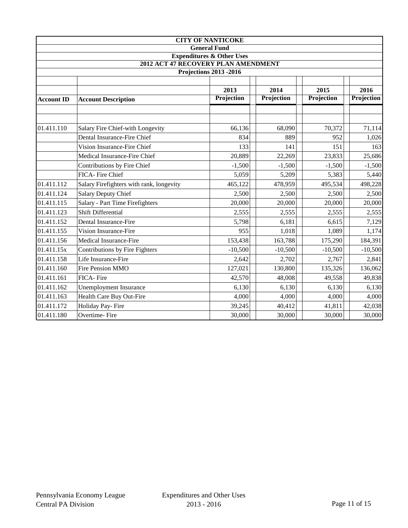|                      |                                          | <b>CITY OF NANTICOKE</b>             |            |            |                    |  |  |  |
|----------------------|------------------------------------------|--------------------------------------|------------|------------|--------------------|--|--|--|
|                      |                                          | <b>General Fund</b>                  |            |            |                    |  |  |  |
|                      |                                          | <b>Expenditures &amp; Other Uses</b> |            |            |                    |  |  |  |
|                      | 2012 ACT 47 RECOVERY PLAN AMENDMENT      |                                      |            |            |                    |  |  |  |
|                      |                                          | <b>Projections 2013 -2016</b>        |            |            |                    |  |  |  |
| 2014<br>2013<br>2015 |                                          |                                      |            |            |                    |  |  |  |
| <b>Account ID</b>    | <b>Account Description</b>               | Projection                           | Projection | Projection | 2016<br>Projection |  |  |  |
|                      |                                          |                                      |            |            |                    |  |  |  |
|                      |                                          |                                      |            |            |                    |  |  |  |
| 01.411.110           | Salary Fire Chief-with Longevity         | 66,136                               | 68,090     | 70,372     | 71,114             |  |  |  |
|                      | Dental Insurance-Fire Chief              | 834                                  | 889        | 952        | 1,026              |  |  |  |
|                      | Vision Insurance-Fire Chief              | 133                                  | 141        | 151        | 163                |  |  |  |
|                      | Medical Insurance-Fire Chief             | 20,889                               | 22,269     | 23,833     | 25,686             |  |  |  |
|                      | Contributions by Fire Chief              | $-1,500$                             | $-1,500$   | $-1,500$   | $-1,500$           |  |  |  |
|                      | FICA- Fire Chief                         | 5,059                                | 5,209      | 5,383      | 5,440              |  |  |  |
| 01.411.112           | Salary Firefighters with rank, longevity | 465,122                              | 478,959    | 495,534    | 498,228            |  |  |  |
| 01.411.124           | <b>Salary Deputy Chief</b>               | 2,500                                | 2,500      | 2,500      | 2,500              |  |  |  |
| 01.411.115           | <b>Salary - Part Time Firefighters</b>   | 20,000                               | 20,000     | 20,000     | 20,000             |  |  |  |
| 01.411.123           | <b>Shift Differential</b>                | 2,555                                | 2,555      | 2,555      | 2,555              |  |  |  |
| 01.411.152           | Dental Insurance-Fire                    | 5,798                                | 6,181      | 6,615      | 7,129              |  |  |  |
| 01.411.155           | Vision Insurance-Fire                    | 955                                  | 1,018      | 1,089      | 1,174              |  |  |  |
| 01.411.156           | Medical Insurance-Fire                   | 153,438                              | 163,788    | 175,290    | 184,391            |  |  |  |
| 01.411.15x           | Contributions by Fire Fighters           | $-10,500$                            | $-10,500$  | $-10,500$  | $-10,500$          |  |  |  |
| 01.411.158           | Life Insurance-Fire                      | 2,642                                | 2,702      | 2,767      | 2,841              |  |  |  |
| 01.411.160           | Fire Pension MMO                         | 127,021                              | 130,800    | 135,326    | 136,062            |  |  |  |
| 01.411.161           | FICA-Fire                                | 42,570                               | 48,008     | 49,558     | 49,838             |  |  |  |
| 01.411.162           | <b>Unemployment Insurance</b>            | 6,130                                | 6,130      | 6,130      | 6,130              |  |  |  |
| 01.411.163           | Health Care Buy Out-Fire                 | 4,000                                | 4,000      | 4,000      | 4,000              |  |  |  |
| 01.411.172           | Holiday Pay-Fire                         | 39,245                               | 40,412     | 41,811     | 42,038             |  |  |  |
| 01.411.180           | Overtime-Fire                            | 30,000                               | 30,000     | 30,000     | 30,000             |  |  |  |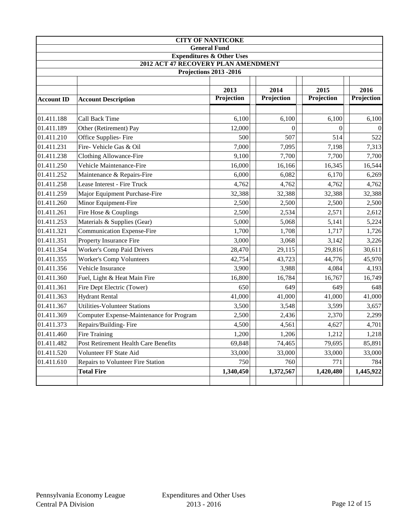| <b>CITY OF NANTICOKE</b>                                                    |                                          |                     |            |            |            |  |  |
|-----------------------------------------------------------------------------|------------------------------------------|---------------------|------------|------------|------------|--|--|
|                                                                             |                                          | <b>General Fund</b> |            |            |            |  |  |
| <b>Expenditures &amp; Other Uses</b><br>2012 ACT 47 RECOVERY PLAN AMENDMENT |                                          |                     |            |            |            |  |  |
| <b>Projections 2013 -2016</b>                                               |                                          |                     |            |            |            |  |  |
|                                                                             |                                          |                     |            |            |            |  |  |
|                                                                             |                                          | 2013                | 2014       | 2015       | 2016       |  |  |
| <b>Account ID</b>                                                           | <b>Account Description</b>               | Projection          | Projection | Projection | Projection |  |  |
|                                                                             |                                          |                     |            |            |            |  |  |
| 01.411.188                                                                  | <b>Call Back Time</b>                    | 6,100               | 6,100      | 6,100      | 6,100      |  |  |
| 01.411.189                                                                  | Other (Retirement) Pay                   | 12,000              | $\theta$   | $\Omega$   |            |  |  |
| 01.411.210                                                                  | Office Supplies-Fire                     | 500                 | 507        | 514        | 522        |  |  |
| 01.411.231                                                                  | Fire- Vehicle Gas & Oil                  | 7,000               | 7,095      | 7,198      | 7,313      |  |  |
| 01.411.238                                                                  | <b>Clothing Allowance-Fire</b>           | 9,100               | 7,700      | 7,700      | 7,700      |  |  |
| 01.411.250                                                                  | Vehicle Maintenance-Fire                 | 16,000              | 16,166     | 16,345     | 16,544     |  |  |
| 01.411.252                                                                  | Maintenance & Repairs-Fire               | 6,000               | 6,082      | 6,170      | 6,269      |  |  |
| 01.411.258                                                                  | Lease Interest - Fire Truck              | 4,762               | 4,762      | 4,762      | 4,762      |  |  |
| 01.411.259                                                                  | Major Equipment Purchase-Fire            | 32,388              | 32,388     | 32,388     | 32,388     |  |  |
| 01.411.260                                                                  | Minor Equipment-Fire                     | 2,500               | 2,500      | 2,500      | 2,500      |  |  |
| 01.411.261                                                                  | Fire Hose & Couplings                    | 2,500               | 2,534      | 2,571      | 2,612      |  |  |
| 01.411.253                                                                  | Materials & Supplies (Gear)              | 5,000               | 5,068      | 5,141      | 5,224      |  |  |
| 01.411.321                                                                  | <b>Communication Expense-Fire</b>        | 1,700               | 1,708      | 1,717      | 1,726      |  |  |
| 01.411.351                                                                  | Property Insurance Fire                  | 3,000               | 3,068      | 3,142      | 3,226      |  |  |
| 01.411.354                                                                  | <b>Worker's Comp Paid Drivers</b>        | 28,470              | 29,115     | 29,816     | 30,611     |  |  |
| 01.411.355                                                                  | <b>Worker's Comp Volunteers</b>          | 42,754              | 43,723     | 44,776     | 45,970     |  |  |
| 01.411.356                                                                  | Vehicle Insurance                        | 3,900               | 3,988      | 4,084      | 4,193      |  |  |
| 01.411.360                                                                  | Fuel, Light & Heat Main Fire             | 16,800              | 16,784     | 16,767     | 16,749     |  |  |
| 01.411.361                                                                  | Fire Dept Electric (Tower)               | 650                 | 649        | 649        | 648        |  |  |
| 01.411.363                                                                  | <b>Hydrant Rental</b>                    | 41,000              | 41,000     | 41,000     | 41,000     |  |  |
| 01.411.367                                                                  | <b>Utilities-Volunteer Stations</b>      | 3,500               | 3,548      | 3,599      | 3,657      |  |  |
| 01.411.369                                                                  | Computer Expense-Maintenance for Program | 2,500               | 2,436      | 2,370      | 2,299      |  |  |
| 01.411.373                                                                  | Repairs/Building-Fire                    | 4,500               | 4,561      | 4,627      | 4,701      |  |  |
| 01.411.460                                                                  | Fire Training                            | 1,200               | 1,206      | 1,212      | 1,218      |  |  |
| 01.411.482                                                                  | Post Retirement Health Care Benefits     | 69,848              | 74,465     | 79,695     | 85,891     |  |  |
| 01.411.520                                                                  | Volunteer FF State Aid                   | 33,000              | 33,000     | 33,000     | 33,000     |  |  |
| 01.411.610                                                                  | Repairs to Volunteer Fire Station        | 750                 | 760        | 771        | 784        |  |  |
|                                                                             | <b>Total Fire</b>                        | 1,340,450           | 1,372,567  | 1,420,480  | 1,445,922  |  |  |
|                                                                             |                                          |                     |            |            |            |  |  |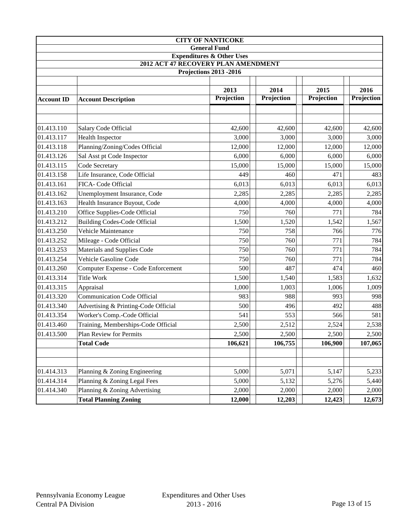|                                      | <b>CITY OF NANTICOKE</b>                                             |                     |            |            |            |  |  |
|--------------------------------------|----------------------------------------------------------------------|---------------------|------------|------------|------------|--|--|
|                                      |                                                                      | <b>General Fund</b> |            |            |            |  |  |
| <b>Expenditures &amp; Other Uses</b> |                                                                      |                     |            |            |            |  |  |
|                                      | 2012 ACT 47 RECOVERY PLAN AMENDMENT<br><b>Projections 2013 -2016</b> |                     |            |            |            |  |  |
|                                      |                                                                      |                     |            |            |            |  |  |
|                                      |                                                                      | 2013                | 2014       | 2015       | 2016       |  |  |
| <b>Account ID</b>                    | <b>Account Description</b>                                           | Projection          | Projection | Projection | Projection |  |  |
|                                      |                                                                      |                     |            |            |            |  |  |
|                                      |                                                                      |                     |            |            |            |  |  |
| 01.413.110                           | Salary Code Official                                                 | 42,600              | 42,600     | 42,600     | 42,600     |  |  |
| 01.413.117                           | <b>Health Inspector</b>                                              | 3,000               | 3,000      | 3,000      | 3,000      |  |  |
| 01.413.118                           | Planning/Zoning/Codes Official                                       | 12,000              | 12,000     | 12,000     | 12,000     |  |  |
| 01.413.126                           | Sal Asst pt Code Inspector                                           | 6,000               | 6,000      | 6,000      | 6,000      |  |  |
| 01.413.115                           | Code Secretary                                                       | 15,000              | 15,000     | 15,000     | 15,000     |  |  |
| 01.413.158                           | Life Insurance, Code Official                                        | 449                 | 460        | 471        | 483        |  |  |
| 01.413.161                           | FICA- Code Official                                                  | 6,013               | 6,013      | 6,013      | 6,013      |  |  |
| 01.413.162                           | Unemployment Insurance, Code                                         | 2,285               | 2,285      | 2,285      | 2,285      |  |  |
| 01.413.163                           | Health Insurance Buyout, Code                                        | 4,000               | 4,000      | 4,000      | 4,000      |  |  |
| 01.413.210                           | Office Supplies-Code Official                                        | 750                 | 760        | 771        | 784        |  |  |
| 01.413.212                           | <b>Building Codes-Code Official</b>                                  | 1,500               | 1,520      | 1,542      | 1,567      |  |  |
| 01.413.250                           | Vehicle Maintenance                                                  | 750                 | 758        | 766        | 776        |  |  |
| 01.413.252                           | Mileage - Code Official                                              | 750                 | 760        | 771        | 784        |  |  |
| 01.413.253                           | Materials and Supplies Code                                          | 750                 | 760        | 771        | 784        |  |  |
| 01.413.254                           | Vehicle Gasoline Code                                                | 750                 | 760        | 771        | 784        |  |  |
| 01.413.260                           | Computer Expense - Code Enforcement                                  | 500                 | 487        | 474        | 460        |  |  |
| 01.413.314                           | Title Work                                                           | 1,500               | 1,540      | 1,583      | 1,632      |  |  |
| 01.413.315                           | Appraisal                                                            | 1,000               | 1,003      | 1,006      | 1,009      |  |  |
| 01.413.320                           | <b>Communication Code Official</b>                                   | 983                 | 988        | 993        | 998        |  |  |
| 01.413.340                           | Advertising & Printing-Code Official                                 | 500                 | 496        | 492        | 488        |  |  |
| 01.413.354                           | Worker's Comp.-Code Official                                         | 541                 | 553        | 566        | 581        |  |  |
| 01.413.460                           | Training, Memberships-Code Official                                  | 2,500               | 2,512      | 2,524      | 2,538      |  |  |
| 01.413.500                           | Plan Review for Permits                                              | 2,500               | 2,500      | 2,500      | 2,500      |  |  |
|                                      | <b>Total Code</b>                                                    | 106,621             | 106,755    | 106,900    | 107,065    |  |  |
|                                      |                                                                      |                     |            |            |            |  |  |
| 01.414.313                           | Planning & Zoning Engineering                                        | 5,000               | 5,071      | 5,147      | 5,233      |  |  |
| 01.414.314                           | Planning & Zoning Legal Fees                                         | 5,000               | 5,132      | 5,276      | 5,440      |  |  |
| 01.414.340                           | Planning & Zoning Advertising                                        | 2,000               | 2,000      | 2,000      | 2,000      |  |  |
|                                      | <b>Total Planning Zoning</b>                                         | 12,000              | 12,203     | 12,423     | 12,673     |  |  |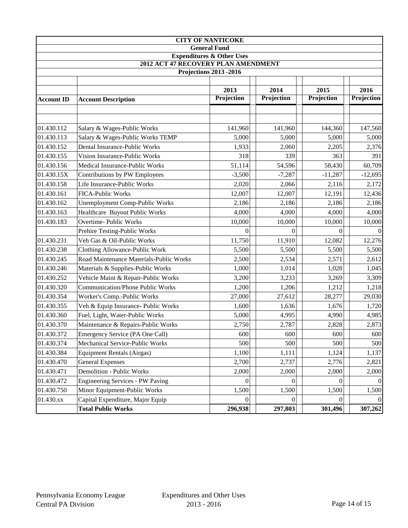| <b>CITY OF NANTICOKE</b>                                                    |                                         |                     |            |            |            |  |
|-----------------------------------------------------------------------------|-----------------------------------------|---------------------|------------|------------|------------|--|
|                                                                             |                                         | <b>General Fund</b> |            |            |            |  |
| <b>Expenditures &amp; Other Uses</b><br>2012 ACT 47 RECOVERY PLAN AMENDMENT |                                         |                     |            |            |            |  |
|                                                                             |                                         |                     |            |            |            |  |
| <b>Projections 2013 -2016</b>                                               |                                         |                     |            |            |            |  |
|                                                                             |                                         | 2013                | 2014       | 2015       | 2016       |  |
| <b>Account ID</b>                                                           | <b>Account Description</b>              | Projection          | Projection | Projection | Projection |  |
|                                                                             |                                         |                     |            |            |            |  |
|                                                                             |                                         |                     |            |            |            |  |
| 01.430.112                                                                  | Salary & Wages-Public Works             | 141,960             | 141,960    | 144,360    | 147,560    |  |
| 01.430.113                                                                  | Salary & Wages-Public Works TEMP        | 5,000               | 5,000      | 5,000      | 5,000      |  |
| 01.430.152                                                                  | Dental Insurance-Public Works           | 1,933               | 2,060      | 2,205      | 2,376      |  |
| 01.430.155                                                                  | Vision Insurance-Public Works           | 318                 | 339        | 363        | 391        |  |
| 01.430.156                                                                  | Medical Insurance-Public Works          | 51,114              | 54,596     | 58,430     | 60,709     |  |
| 01.430.15X                                                                  | Contributions by PW Employees           | $-3,500$            | $-7,287$   | $-11,287$  | $-12,695$  |  |
| 01.430.158                                                                  | Life Insurance-Public Works             | 2,020               | 2,066      | 2,116      | 2,172      |  |
| 01.430.161                                                                  | <b>FICA-Public Works</b>                | 12,007              | 12,007     | 12,191     | 12,436     |  |
| 01.430.162                                                                  | <b>Unemployment Comp-Public Works</b>   | 2,186               | 2,186      | 2,186      | 2,186      |  |
| 01.430.163                                                                  | Healthcare Buyout Public Works          | 4,000               | 4,000      | 4,000      | 4,000      |  |
| 01.430.183                                                                  | Overtime- Public Works                  | 10,000              | 10,000     | 10,000     | 10,000     |  |
|                                                                             | Prehire Testing-Public Works            | 0                   | $\Omega$   | $\theta$   |            |  |
| 01.430.231                                                                  | Veh Gas & Oil-Public Works              | 11,750              | 11,910     | 12,082     | 12,276     |  |
| 01.430.238                                                                  | Clothing Allowance-Public Work          | 5,500               | 5,500      | 5,500      | 5,500      |  |
| 01.430.245                                                                  | Road Maintenance Materials-Public Works | 2,500               | 2,534      | 2,571      | 2,612      |  |
| 01.430.246                                                                  | Materials & Supplies-Public Works       | 1,000               | 1,014      | 1,028      | 1,045      |  |
| 01.430.252                                                                  | Vehicle Maint & Repair-Public Works     | 3,200               | 3,233      | 3,269      | 3,309      |  |
| 01.430.320                                                                  | <b>Communication/Phone Public Works</b> | 1,200               | 1,206      | 1,212      | 1,218      |  |
| 01.430.354                                                                  | Worker's Comp.-Public Works             | 27,000              | 27,612     | 28,277     | 29,030     |  |
| 01.430.355                                                                  | Veh & Equip Insurance- Public Works     | 1,600               | 1,636      | 1,676      | 1,720      |  |
| 01.430.360                                                                  | Fuel, Light, Water-Public Works         | 5,000               | 4,995      | 4,990      | 4,985      |  |
| 01.430.370                                                                  | Maintenance & Repairs-Public Works      | 2,750               | 2,787      | 2,828      | 2,873      |  |
| 01.430.372                                                                  | Emergency Service (PA One Call)         | 600                 | 600        | 600        | 600        |  |
| 01.430.374                                                                  | Mechanical Service-Public Works         | 500                 | 500        | 500        | 500        |  |
| 01.430.384                                                                  | <b>Equipment Rentals (Airgas)</b>       | 1,100               | 1,111      | 1,124      | 1,137      |  |
| 01.430.470                                                                  | <b>General Expenses</b>                 | 2,700               | 2,737      | 2,776      | 2,821      |  |
| 01.430.471                                                                  | Demolition - Public Works               | 2,000               | 2,000      | 2,000      | 2,000      |  |
| 01.430.472                                                                  | <b>Engineering Services - PW Paving</b> | $\theta$            | $\theta$   | $\theta$   |            |  |
| 01.430.750                                                                  | Minor Equipment-Public Works            | 1,500               | 1,500      | 1,500      | 1,500      |  |
| 01.430.xx                                                                   | Capital Expenditure, Major Equip        | $\Omega$            | $\theta$   | $\Omega$   |            |  |
|                                                                             | <b>Total Public Works</b>               | 296,938             | 297,803    | 301,496    | 307,262    |  |